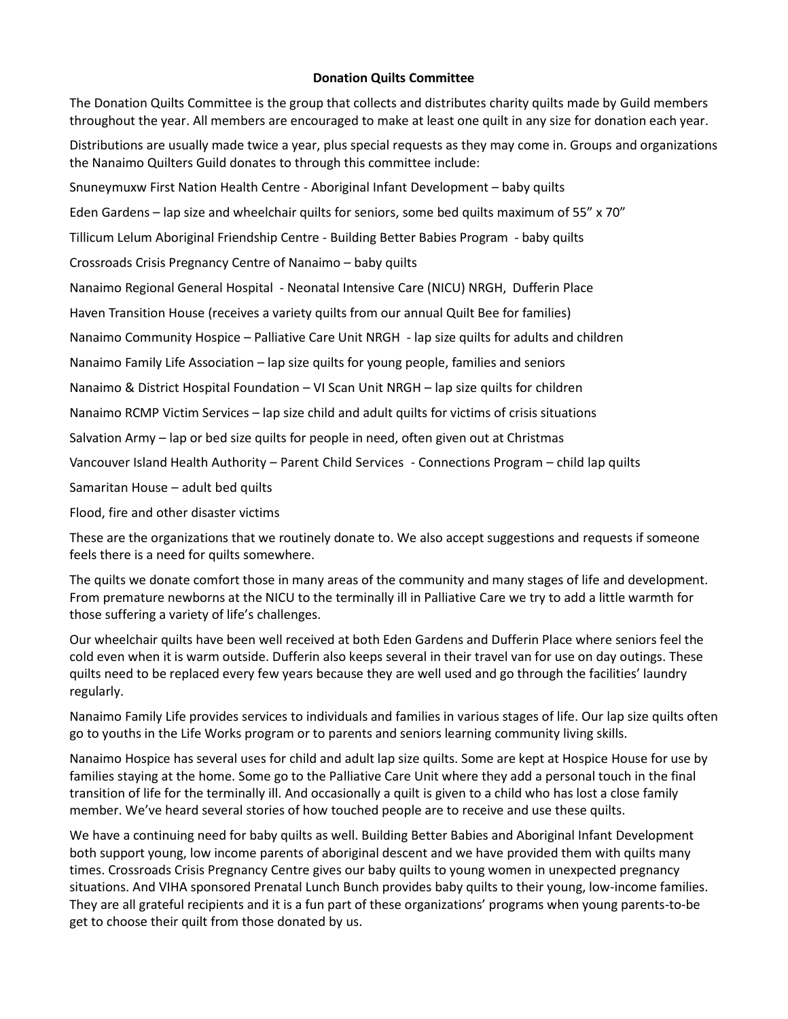## **Donation Quilts Committee**

The Donation Quilts Committee is the group that collects and distributes charity quilts made by Guild members throughout the year. All members are encouraged to make at least one quilt in any size for donation each year.

Distributions are usually made twice a year, plus special requests as they may come in. Groups and organizations the Nanaimo Quilters Guild donates to through this committee include:

Snuneymuxw First Nation Health Centre - Aboriginal Infant Development – baby quilts

Eden Gardens – lap size and wheelchair quilts for seniors, some bed quilts maximum of 55" x 70"

Tillicum Lelum Aboriginal Friendship Centre - Building Better Babies Program - baby quilts

Crossroads Crisis Pregnancy Centre of Nanaimo – baby quilts

Nanaimo Regional General Hospital - Neonatal Intensive Care (NICU) NRGH, Dufferin Place

Haven Transition House (receives a variety quilts from our annual Quilt Bee for families)

Nanaimo Community Hospice – Palliative Care Unit NRGH - lap size quilts for adults and children

Nanaimo Family Life Association – lap size quilts for young people, families and seniors

Nanaimo & District Hospital Foundation – VI Scan Unit NRGH – lap size quilts for children

Nanaimo RCMP Victim Services – lap size child and adult quilts for victims of crisis situations

Salvation Army – lap or bed size quilts for people in need, often given out at Christmas

Vancouver Island Health Authority – Parent Child Services - Connections Program – child lap quilts

Samaritan House – adult bed quilts

Flood, fire and other disaster victims

These are the organizations that we routinely donate to. We also accept suggestions and requests if someone feels there is a need for quilts somewhere.

The quilts we donate comfort those in many areas of the community and many stages of life and development. From premature newborns at the NICU to the terminally ill in Palliative Care we try to add a little warmth for those suffering a variety of life's challenges.

Our wheelchair quilts have been well received at both Eden Gardens and Dufferin Place where seniors feel the cold even when it is warm outside. Dufferin also keeps several in their travel van for use on day outings. These quilts need to be replaced every few years because they are well used and go through the facilities' laundry regularly.

Nanaimo Family Life provides services to individuals and families in various stages of life. Our lap size quilts often go to youths in the Life Works program or to parents and seniors learning community living skills.

Nanaimo Hospice has several uses for child and adult lap size quilts. Some are kept at Hospice House for use by families staying at the home. Some go to the Palliative Care Unit where they add a personal touch in the final transition of life for the terminally ill. And occasionally a quilt is given to a child who has lost a close family member. We've heard several stories of how touched people are to receive and use these quilts.

We have a continuing need for baby quilts as well. Building Better Babies and Aboriginal Infant Development both support young, low income parents of aboriginal descent and we have provided them with quilts many times. Crossroads Crisis Pregnancy Centre gives our baby quilts to young women in unexpected pregnancy situations. And VIHA sponsored Prenatal Lunch Bunch provides baby quilts to their young, low-income families. They are all grateful recipients and it is a fun part of these organizations' programs when young parents-to-be get to choose their quilt from those donated by us.